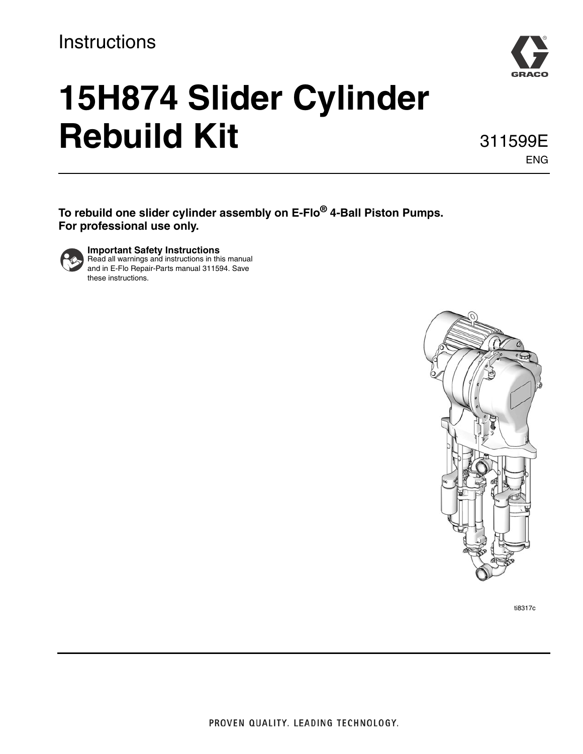## **Instructions**



# **15H874 Slider Cylinder Rebuild Kit**

311599E ENG

**To rebuild one slider cylinder assembly on E-Flo® 4-Ball Piston Pumps. For professional use only.**



**Important Safety Instructions** Read all warnings and instructions in this manual and in E-Flo Repair-Parts manual 311594. Save these instructions.



ti8317c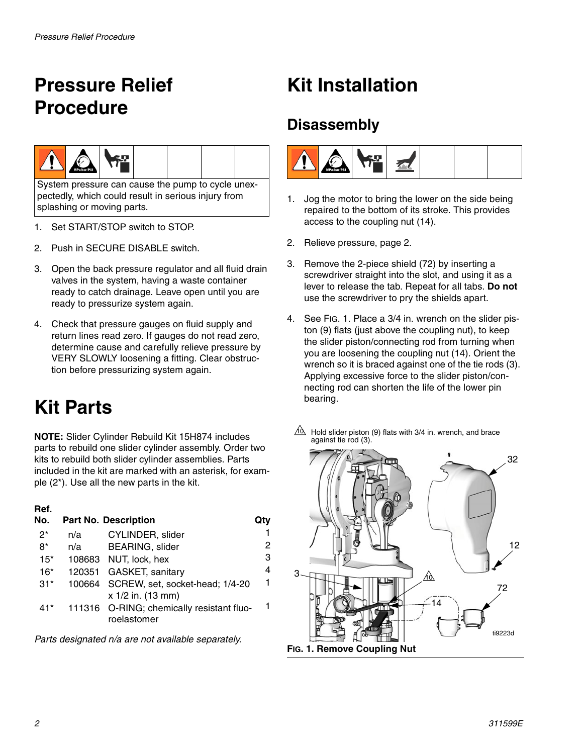# <span id="page-1-0"></span>**Pressure Relief Procedure**



System pressure can cause the pump to cycle unexpectedly, which could result in serious injury from splashing or moving parts.

- 1. Set START/STOP switch to STOP.
- 2. Push in SECURE DISABLE switch.
- 3. Open the back pressure regulator and all fluid drain valves in the system, having a waste container ready to catch drainage. Leave open until you are ready to pressurize system again.
- 4. Check that pressure gauges on fluid supply and return lines read zero. If gauges do not read zero, determine cause and carefully relieve pressure by VERY SLOWLY loosening a fitting. Clear obstruction before pressurizing system again.

# **Kit Parts**

**NOTE:** Slider Cylinder Rebuild Kit 15H874 includes parts to rebuild one slider cylinder assembly. Order two kits to rebuild both slider cylinder assemblies. Parts included in the kit are marked with an asterisk, for example (2\*). Use all the new parts in the kit.

### **Ref.**

| No.   |     | <b>Part No. Description</b>                                 |   |
|-------|-----|-------------------------------------------------------------|---|
| $2^*$ | n/a | CYLINDER, slider                                            |   |
| 8*    | n/a | <b>BEARING, slider</b>                                      | 2 |
| $15*$ |     | 108683 NUT, lock, hex                                       | 3 |
| $16*$ |     | 120351 GASKET, sanitary                                     | 4 |
| $31*$ |     | 100664 SCREW, set, socket-head; 1/4-20<br>x 1/2 in. (13 mm) | 1 |
| $41*$ |     | 111316 O-RING; chemically resistant fluo-<br>roelastomer    | 1 |

*Parts designated n/a are not available separately.*

## **Kit Installation**

## **Disassembly**



- 1. Jog the motor to bring the lower on the side being repaired to the bottom of its stroke. This provides access to the coupling nut (14).
- 2. Relieve pressure, page [2.](#page-1-0)
- 3. Remove the 2-piece shield (72) by inserting a screwdriver straight into the slot, and using it as a lever to release the tab. Repeat for all tabs. **Do not** use the screwdriver to pry the shields apart.
- 4. See FIG. 1. Place a 3/4 in. wrench on the slider piston (9) flats (just above the coupling nut), to keep the slider piston/connecting rod from turning when you are loosening the coupling nut (14). Orient the wrench so it is braced against one of the tie rods (3). Applying excessive force to the slider piston/connecting rod can shorten the life of the lower pin bearing.
- $10 \over 10$  Hold slider piston (9) flats with 3/4 in. wrench, and brace against tie rod (3).

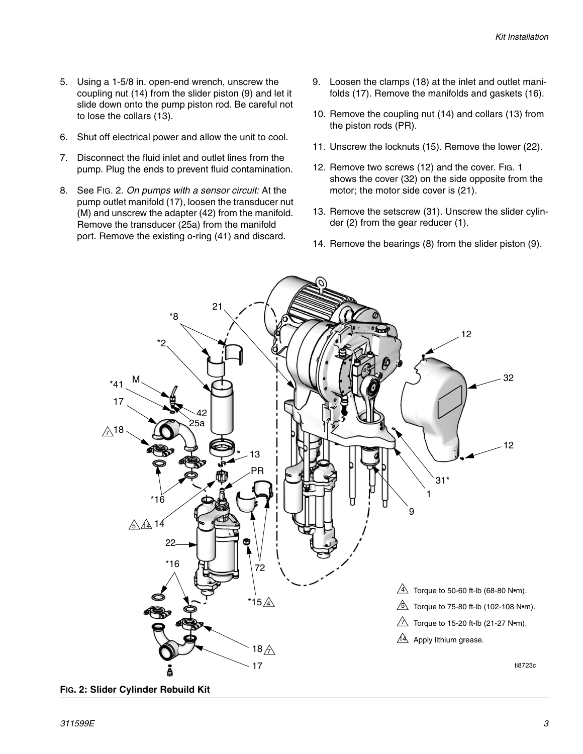- 5. Using a 1-5/8 in. open-end wrench, unscrew the coupling nut (14) from the slider piston (9) and let it slide down onto the pump piston rod. Be careful not to lose the collars (13).
- 6. Shut off electrical power and allow the unit to cool.
- 7. Disconnect the fluid inlet and outlet lines from the pump. Plug the ends to prevent fluid contamination.
- 8. See [FIG. 2](#page-2-0). *On pumps with a sensor circuit:* At the pump outlet manifold (17), loosen the transducer nut (M) and unscrew the adapter (42) from the manifold. Remove the transducer (25a) from the manifold port. Remove the existing o-ring (41) and discard.
- 9. Loosen the clamps (18) at the inlet and outlet manifolds (17). Remove the manifolds and gaskets (16).
- 10. Remove the coupling nut (14) and collars (13) from the piston rods (PR).
- 11. Unscrew the locknuts (15). Remove the lower (22).
- 12. Remove two screws (12) and the cover. FIG. 1 shows the cover (32) on the side opposite from the motor; the motor side cover is (21).
- 13. Remove the setscrew (31). Unscrew the slider cylinder (2) from the gear reducer (1).
- 14. Remove the bearings (8) from the slider piston (9).



<span id="page-2-0"></span>**FIG. 2: Slider Cylinder Rebuild Kit**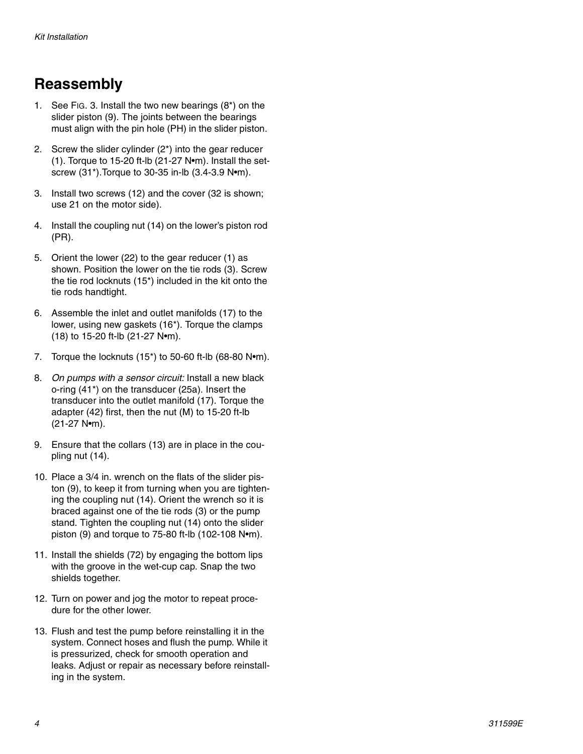## **Reassembly**

- 1. See FIG. 3. Install the two new bearings (8\*) on the slider piston (9). The joints between the bearings must align with the pin hole (PH) in the slider piston.
- 2. Screw the slider cylinder (2\*) into the gear reducer (1). Torque to 15-20 ft-lb (21-27 N•m). Install the setscrew (31\*).Torque to 30-35 in-lb (3.4-3.9 N•m).
- 3. Install two screws (12) and the cover (32 is shown; use 21 on the motor side).
- 4. Install the coupling nut (14) on the lower's piston rod (PR).
- 5. Orient the lower (22) to the gear reducer (1) as shown. Position the lower on the tie rods (3). Screw the tie rod locknuts (15\*) included in the kit onto the tie rods handtight.
- 6. Assemble the inlet and outlet manifolds (17) to the lower, using new gaskets (16\*). Torque the clamps (18) to 15-20 ft-lb (21-27 N•m).
- 7. Torque the locknuts (15\*) to 50-60 ft-lb (68-80 N•m).
- 8. *On pumps with a sensor circuit:* Install a new black o-ring (41\*) on the transducer (25a). Insert the transducer into the outlet manifold (17). Torque the adapter (42) first, then the nut (M) to 15-20 ft-lb (21-27 N•m).
- 9. Ensure that the collars (13) are in place in the coupling nut (14).
- 10. Place a 3/4 in. wrench on the flats of the slider piston (9), to keep it from turning when you are tightening the coupling nut (14). Orient the wrench so it is braced against one of the tie rods (3) or the pump stand. Tighten the coupling nut (14) onto the slider piston (9) and torque to 75-80 ft-lb (102-108 N•m).
- 11. Install the shields (72) by engaging the bottom lips with the groove in the wet-cup cap. Snap the two shields together.
- 12. Turn on power and jog the motor to repeat procedure for the other lower.
- 13. Flush and test the pump before reinstalling it in the system. Connect hoses and flush the pump. While it is pressurized, check for smooth operation and leaks. Adjust or repair as necessary before reinstalling in the system.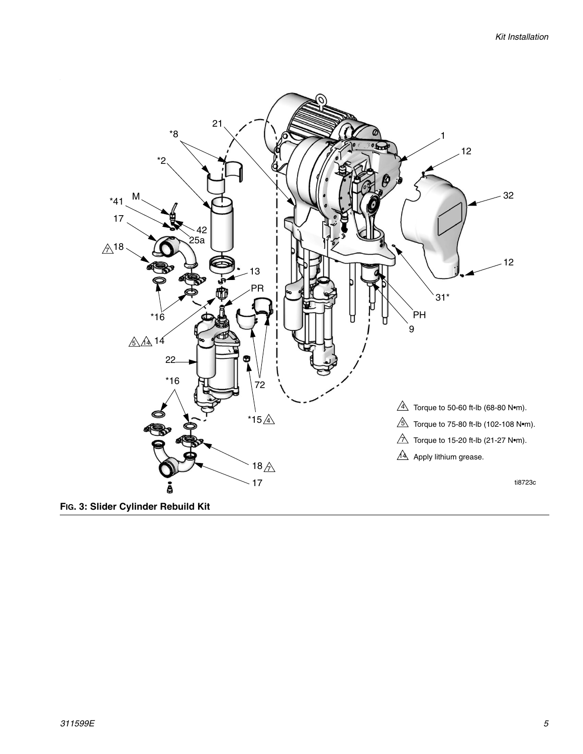